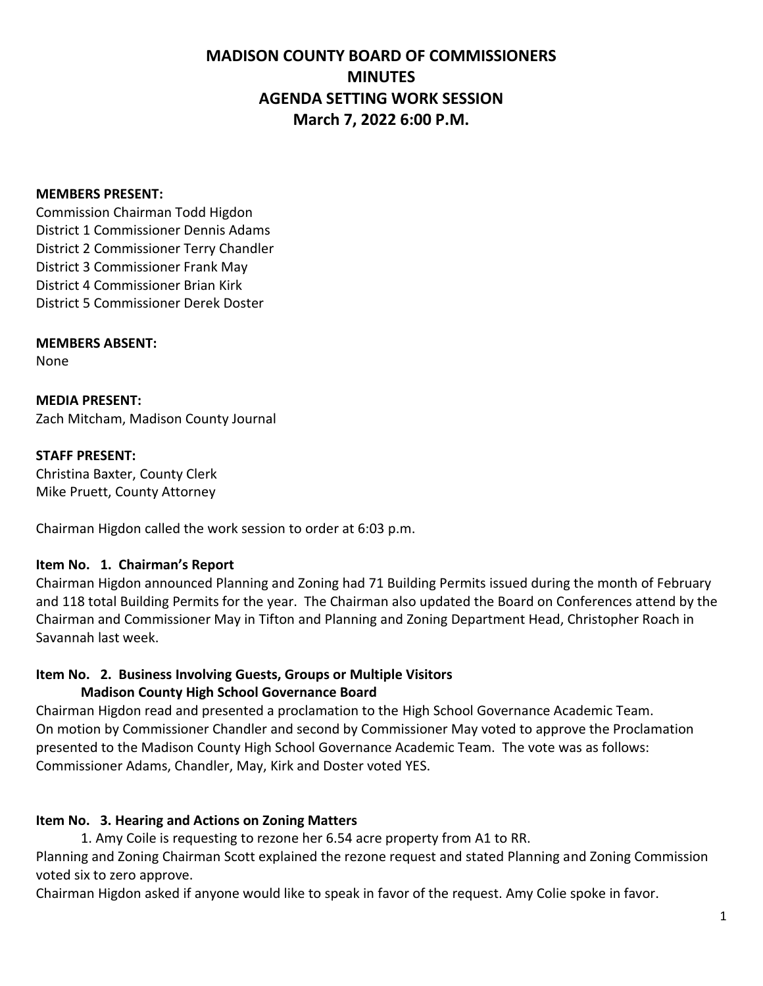# **MADISON COUNTY BOARD OF COMMISSIONERS MINUTES AGENDA SETTING WORK SESSION March 7, 2022 6:00 P.M.**

#### **MEMBERS PRESENT:**

Commission Chairman Todd Higdon District 1 Commissioner Dennis Adams District 2 Commissioner Terry Chandler District 3 Commissioner Frank May District 4 Commissioner Brian Kirk District 5 Commissioner Derek Doster

### **MEMBERS ABSENT:**

None

**MEDIA PRESENT:** Zach Mitcham, Madison County Journal

### **STAFF PRESENT:** Christina Baxter, County Clerk Mike Pruett, County Attorney

Chairman Higdon called the work session to order at 6:03 p.m.

# **Item No. 1. Chairman's Report**

Chairman Higdon announced Planning and Zoning had 71 Building Permits issued during the month of February and 118 total Building Permits for the year. The Chairman also updated the Board on Conferences attend by the Chairman and Commissioner May in Tifton and Planning and Zoning Department Head, Christopher Roach in Savannah last week.

# **Item No. 2. Business Involving Guests, Groups or Multiple Visitors**

### **Madison County High School Governance Board**

Chairman Higdon read and presented a proclamation to the High School Governance Academic Team. On motion by Commissioner Chandler and second by Commissioner May voted to approve the Proclamation presented to the Madison County High School Governance Academic Team. The vote was as follows: Commissioner Adams, Chandler, May, Kirk and Doster voted YES.

# **Item No. 3. Hearing and Actions on Zoning Matters**

1. Amy Coile is requesting to rezone her 6.54 acre property from A1 to RR.

Planning and Zoning Chairman Scott explained the rezone request and stated Planning and Zoning Commission voted six to zero approve.

Chairman Higdon asked if anyone would like to speak in favor of the request. Amy Colie spoke in favor.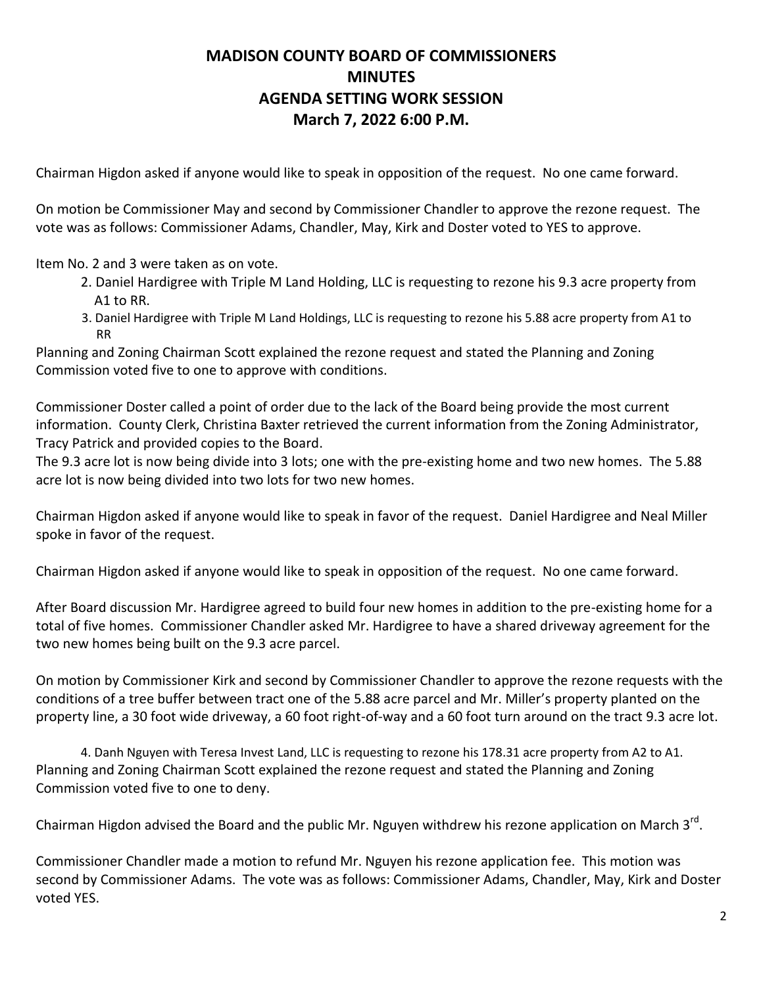# **MADISON COUNTY BOARD OF COMMISSIONERS MINUTES AGENDA SETTING WORK SESSION March 7, 2022 6:00 P.M.**

Chairman Higdon asked if anyone would like to speak in opposition of the request. No one came forward.

On motion be Commissioner May and second by Commissioner Chandler to approve the rezone request. The vote was as follows: Commissioner Adams, Chandler, May, Kirk and Doster voted to YES to approve.

Item No. 2 and 3 were taken as on vote.

- 2. Daniel Hardigree with Triple M Land Holding, LLC is requesting to rezone his 9.3 acre property from A1 to RR.
- 3. Daniel Hardigree with Triple M Land Holdings, LLC is requesting to rezone his 5.88 acre property from A1 to RR

Planning and Zoning Chairman Scott explained the rezone request and stated the Planning and Zoning Commission voted five to one to approve with conditions.

Commissioner Doster called a point of order due to the lack of the Board being provide the most current information. County Clerk, Christina Baxter retrieved the current information from the Zoning Administrator, Tracy Patrick and provided copies to the Board.

The 9.3 acre lot is now being divide into 3 lots; one with the pre-existing home and two new homes. The 5.88 acre lot is now being divided into two lots for two new homes.

Chairman Higdon asked if anyone would like to speak in favor of the request. Daniel Hardigree and Neal Miller spoke in favor of the request.

Chairman Higdon asked if anyone would like to speak in opposition of the request. No one came forward.

After Board discussion Mr. Hardigree agreed to build four new homes in addition to the pre-existing home for a total of five homes. Commissioner Chandler asked Mr. Hardigree to have a shared driveway agreement for the two new homes being built on the 9.3 acre parcel.

On motion by Commissioner Kirk and second by Commissioner Chandler to approve the rezone requests with the conditions of a tree buffer between tract one of the 5.88 acre parcel and Mr. Miller's property planted on the property line, a 30 foot wide driveway, a 60 foot right-of-way and a 60 foot turn around on the tract 9.3 acre lot.

4. Danh Nguyen with Teresa Invest Land, LLC is requesting to rezone his 178.31 acre property from A2 to A1. Planning and Zoning Chairman Scott explained the rezone request and stated the Planning and Zoning Commission voted five to one to deny.

Chairman Higdon advised the Board and the public Mr. Nguyen withdrew his rezone application on March 3<sup>rd</sup>.

Commissioner Chandler made a motion to refund Mr. Nguyen his rezone application fee. This motion was second by Commissioner Adams. The vote was as follows: Commissioner Adams, Chandler, May, Kirk and Doster voted YES.